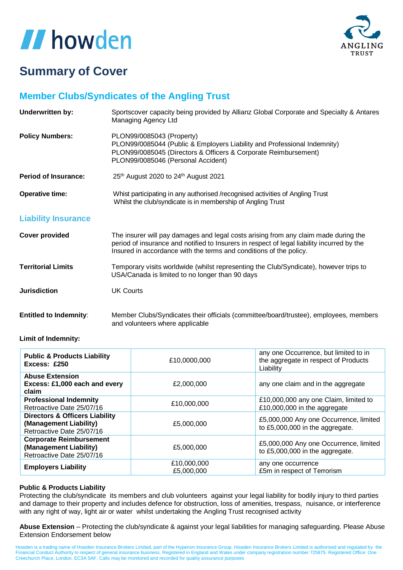

### **Summary of Cover**

### **Member Clubs/Syndicates of the Angling Trust**

| <b>Underwritten by:</b>       | Sportscover capacity being provided by Allianz Global Corporate and Specialty & Antares<br>Managing Agency Ltd                                                                                                                                          |
|-------------------------------|---------------------------------------------------------------------------------------------------------------------------------------------------------------------------------------------------------------------------------------------------------|
| <b>Policy Numbers:</b>        | PLON99/0085043 (Property)<br>PLON99/0085044 (Public & Employers Liability and Professional Indemnity)<br>PLON99/0085045 (Directors & Officers & Corporate Reimbursement)<br>PLON99/0085046 (Personal Accident)                                          |
| <b>Period of Insurance:</b>   | 25th August 2020 to 24th August 2021                                                                                                                                                                                                                    |
| <b>Operative time:</b>        | Whist participating in any authorised /recognised activities of Angling Trust<br>Whilst the club/syndicate is in membership of Angling Trust                                                                                                            |
| <b>Liability Insurance</b>    |                                                                                                                                                                                                                                                         |
| <b>Cover provided</b>         | The insurer will pay damages and legal costs arising from any claim made during the<br>period of insurance and notified to Insurers in respect of legal liability incurred by the<br>Insured in accordance with the terms and conditions of the policy. |
| <b>Territorial Limits</b>     | Temporary visits worldwide (whilst representing the Club/Syndicate), however trips to<br>USA/Canada is limited to no longer than 90 days                                                                                                                |
| <b>Jurisdiction</b>           | <b>UK Courts</b>                                                                                                                                                                                                                                        |
| <b>Entitled to Indemnity:</b> | Member Clubs/Syndicates their officials (committee/board/trustee), employees, members<br>and volunteers where applicable                                                                                                                                |

**Limit of Indemnity:**

| <b>Public &amp; Products Liability</b><br>Excess: £250                                           | £10,0000,000 | any one Occurrence, but limited to in<br>the aggregate in respect of Products<br>Liability |
|--------------------------------------------------------------------------------------------------|--------------|--------------------------------------------------------------------------------------------|
| <b>Abuse Extension</b><br>Excess: £1,000 each and every<br>claim                                 | £2,000,000   | any one claim and in the aggregate                                                         |
| <b>Professional Indemnity</b>                                                                    | £10,000,000  | £10,000,000 any one Claim, limited to                                                      |
| Retroactive Date 25/07/16                                                                        |              | £10,000,000 in the aggregate                                                               |
| <b>Directors &amp; Officers Liability</b><br>(Management Liability)<br>Retroactive Date 25/07/16 | £5,000,000   | £5,000,000 Any one Occurrence, limited<br>to £5,000,000 in the aggregate.                  |
| <b>Corporate Reimbursement</b><br>(Management Liability)<br>Retroactive Date 25/07/16            | £5,000,000   | £5,000,000 Any one Occurrence, limited<br>to £5,000,000 in the aggregate.                  |
| <b>Employers Liability</b>                                                                       | £10,000,000  | any one occurrence                                                                         |
|                                                                                                  | £5,000,000   | £5m in respect of Terrorism                                                                |

#### **Public & Products Liability**

Protecting the club/syndicate its members and club volunteers against your legal liability for bodily injury to third parties and damage to their property and includes defence for obstruction, loss of amenities, trespass, nuisance, or interference with any right of way, light air or water whilst undertaking the Angling Trust recognised activity

**Abuse Extension** – Protecting the club/syndicate & against your legal liabilities for managing safeguarding. Please Abuse Extension Endorsement below

Howden is a trading name of Howden Insurance Brokers Limited, part of the Hyperion Insurance Group. Howden Insurance Brokers Limited is authorised and regulated by the<br>Financial Conduct Authority in respect of general insu Creechurch Place, London, EC3A 5AF. Calls may be monitored and recorded for quality assurance purposes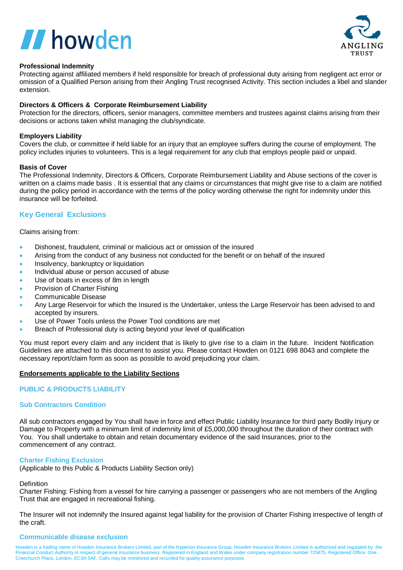

#### **Professional Indemnity**

Protecting against affiliated members if held responsible for breach of professional duty arising from negligent act error or omission of a Qualified Person arising from their Angling Trust recognised Activity. This section includes a libel and slander extension.

#### **Directors & Officers & Corporate Reimbursement Liability**

Protection for the directors, officers, senior managers, committee members and trustees against claims arising from their decisions or actions taken whilst managing the club/syndicate.

#### **Employers Liability**

Covers the club, or committee if held liable for an injury that an employee suffers during the course of employment. The policy includes injuries to volunteers. This is a legal requirement for any club that employs people paid or unpaid.

#### **Basis of Cover**

The Professional Indemnity, Directors & Officers, Corporate Reimbursement Liability and Abuse sections of the cover is written on a claims made basis . It is essential that any claims or circumstances that might give rise to a claim are notified during the policy period in accordance with the terms of the policy wording otherwise the right for indemnity under this insurance will be forfeited.

#### **Key General Exclusions**

Claims arising from:

- Dishonest, fraudulent, criminal or malicious act or omission of the insured
- Arising from the conduct of any business not conducted for the benefit or on behalf of the insured
- Insolvency, bankruptcy or liquidation
- Individual abuse or person accused of abuse
- Use of boats in excess of 8m in length
- Provision of Charter Fishing
- Communicable Disease
- Any Large Reservoir for which the Insured is the Undertaker, unless the Large Reservoir has been advised to and accepted by insurers.
- Use of Power Tools unless the Power Tool conditions are met
- Breach of Professional duty is acting beyond your level of qualification

You must report every claim and any incident that is likely to give rise to a claim in the future. Incident Notification Guidelines are attached to this document to assist you. Please contact Howden on 0121 698 8043 and complete the necessary report/claim form as soon as possible to avoid prejudicing your claim.

#### **Endorsements applicable to the Liability Sections**

#### **PUBLIC & PRODUCTS LIABILITY**

#### **Sub Contractors Condition**

All sub contractors engaged by You shall have in force and effect Public Liability Insurance for third party Bodily Injury or Damage to Property with a minimum limit of indemnity limit of £5,000,000 throughout the duration of their contract with You. You shall undertake to obtain and retain documentary evidence of the said Insurances, prior to the commencement of any contract.

#### **Charter Fishing Exclusion**

(Applicable to this Public & Products Liability Section only)

#### Definition

Charter Fishing: Fishing from a vessel for hire carrying a passenger or passengers who are not members of the Angling Trust that are engaged in recreational fishing.

The Insurer will not indemnify the Insured against legal liability for the provision of Charter Fishing irrespective of length of the craft.

#### **Communicable disease exclusion**

Howden is a trading name of Howden Insurance Brokers Limited, part of the Hyperion Insurance Group. Howden Insurance Brokers Limited is authorised and regulated by the Financial Conduct Authority in respect of general insurance business. Registered in England and Wales under company registration number 725875. Registered Office: One Creechurch Place, London, EC3A 5AF. Calls may be monitored and recorded for quality assurance purposes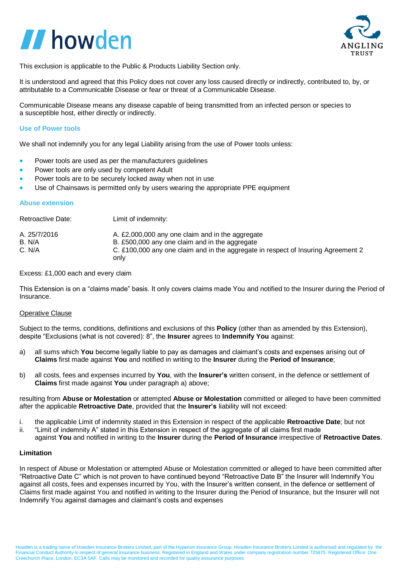

This exclusion is applicable to the Public & Products Liability Section only.

It is understood and agreed that this Policy does not cover any loss caused directly or indirectly, contributed to, by, or attributable to a Communicable Disease or fear or threat of a Communicable Disease.

Communicable Disease means any disease capable of being transmitted from an infected person or species to a susceptible host, either directly or indirectly.

#### **Use of Power tools**

We shall not indemnify you for any legal Liability arising from the use of Power tools unless:

- Power tools are used as per the manufacturers guidelines
- Power tools are only used by competent Adult
- Power tools are to be securely locked away when not in use
- Use of Chainsaws is permitted only by users wearing the appropriate PPE equipment

#### **Abuse extension**

| Retroactive Date: | Limit of indemnity:                                                                       |
|-------------------|-------------------------------------------------------------------------------------------|
| A. 25/7/2016      | A. £2,000,000 any one claim and in the aggregate                                          |
| B. N/A            | B. £500,000 any one claim and in the aggregate                                            |
| C. N/A            | C. £100,000 any one claim and in the aggregate in respect of Insuring Agreement 2<br>only |

Excess: £1,000 each and every claim

This Extension is on a "claims made" basis. It only covers claims made You and notified to the Insurer during the Period of Insurance.

#### Operative Clause

Subject to the terms, conditions, definitions and exclusions of this **Policy** (other than as amended by this Extension), despite "Exclusions (what is not covered): 8", the **Insurer** agrees to **Indemnify You** against:

- a) all sums which **You** become legally liable to pay as damages and claimant's costs and expenses arising out of **Claims** first made against **You** and notified in writing to the **Insurer** during the **Period of Insurance**;
- b) all costs, fees and expenses incurred by **You**, with the **Insurer's** written consent, in the defence or settlement of **Claims** first made against **You** under paragraph a) above;

resulting from **Abuse or Molestation** or attempted **Abuse or Molestation** committed or alleged to have been committed after the applicable **Retroactive Date**, provided that the **Insurer's** liability will not exceed:

- i. the applicable Limit of indemnity stated in this Extension in respect of the applicable **Retroactive Date**; but not
- ii. "Limit of indemnity A" stated in this Extension in respect of the aggregate of all claims first made against **You** and notified in writing to the **Insurer** during the **Period of Insurance** irrespective of **Retroactive Dates**.

#### **Limitation**

In respect of Abuse or Molestation or attempted Abuse or Molestation committed or alleged to have been committed after "Retroactive Date C" which is not proven to have continued beyond "Retroactive Date B" the Insurer will Indemnify You against all costs, fees and expenses incurred by You, with the Insurer's written consent, in the defence or settlement of Claims first made against You and notified in writing to the Insurer during the Period of Insurance, but the Insurer will not Indemnify You against damages and claimant's costs and expenses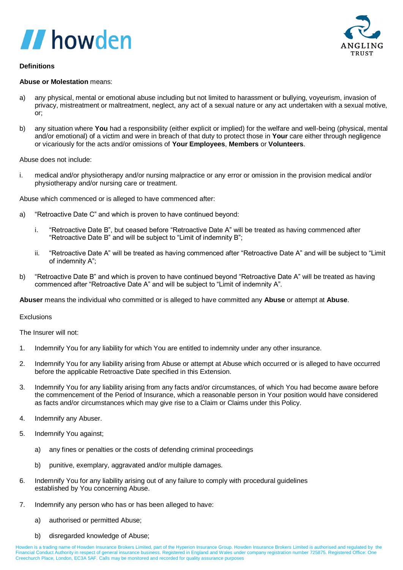



#### **Definitions**

#### **Abuse or Molestation** means:

- a) any physical, mental or emotional abuse including but not limited to harassment or bullying, voyeurism, invasion of privacy, mistreatment or maltreatment, neglect, any act of a sexual nature or any act undertaken with a sexual motive, or;
- b) any situation where **You** had a responsibility (either explicit or implied) for the welfare and well-being (physical, mental and/or emotional) of a victim and were in breach of that duty to protect those in **Your** care either through negligence or vicariously for the acts and/or omissions of **Your Employees**, **Members** or **Volunteers**.

Abuse does not include:

i. medical and/or physiotherapy and/or nursing malpractice or any error or omission in the provision medical and/or physiotherapy and/or nursing care or treatment.

Abuse which commenced or is alleged to have commenced after:

- a) "Retroactive Date C" and which is proven to have continued beyond:
	- i. "Retroactive Date B", but ceased before "Retroactive Date A" will be treated as having commenced after "Retroactive Date B" and will be subject to "Limit of indemnity B";
	- ii. "Retroactive Date A" will be treated as having commenced after "Retroactive Date A" and will be subject to "Limit of indemnity A";
- b) "Retroactive Date B" and which is proven to have continued beyond "Retroactive Date A" will be treated as having commenced after "Retroactive Date A" and will be subject to "Limit of indemnity A".

**Abuser** means the individual who committed or is alleged to have committed any **Abuse** or attempt at **Abuse**.

#### **Exclusions**

The Insurer will not:

- 1. Indemnify You for any liability for which You are entitled to indemnity under any other insurance.
- 2. Indemnify You for any liability arising from Abuse or attempt at Abuse which occurred or is alleged to have occurred before the applicable Retroactive Date specified in this Extension.
- 3. Indemnify You for any liability arising from any facts and/or circumstances, of which You had become aware before the commencement of the Period of Insurance, which a reasonable person in Your position would have considered as facts and/or circumstances which may give rise to a Claim or Claims under this Policy.
- 4. Indemnify any Abuser.
- 5. Indemnify You against;
	- a) any fines or penalties or the costs of defending criminal proceedings
	- b) punitive, exemplary, aggravated and/or multiple damages.
- 6. Indemnify You for any liability arising out of any failure to comply with procedural guidelines established by You concerning Abuse.
- 7. Indemnify any person who has or has been alleged to have:
	- a) authorised or permitted Abuse;
	- b) disregarded knowledge of Abuse;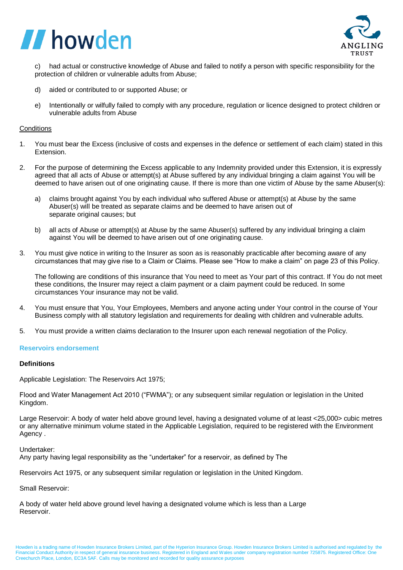

c) had actual or constructive knowledge of Abuse and failed to notify a person with specific responsibility for the protection of children or vulnerable adults from Abuse;

- d) aided or contributed to or supported Abuse; or
- e) Intentionally or wilfully failed to comply with any procedure, regulation or licence designed to protect children or vulnerable adults from Abuse

#### **Conditions**

- 1. You must bear the Excess (inclusive of costs and expenses in the defence or settlement of each claim) stated in this Extension.
- 2. For the purpose of determining the Excess applicable to any Indemnity provided under this Extension, it is expressly agreed that all acts of Abuse or attempt(s) at Abuse suffered by any individual bringing a claim against You will be deemed to have arisen out of one originating cause. If there is more than one victim of Abuse by the same Abuser(s):
	- a) claims brought against You by each individual who suffered Abuse or attempt(s) at Abuse by the same Abuser(s) will be treated as separate claims and be deemed to have arisen out of separate original causes; but
	- b) all acts of Abuse or attempt(s) at Abuse by the same Abuser(s) suffered by any individual bringing a claim against You will be deemed to have arisen out of one originating cause.
- 3. You must give notice in writing to the Insurer as soon as is reasonably practicable after becoming aware of any circumstances that may give rise to a Claim or Claims. Please see "How to make a claim" on page 23 of this Policy.

The following are conditions of this insurance that You need to meet as Your part of this contract. If You do not meet these conditions, the Insurer may reject a claim payment or a claim payment could be reduced. In some circumstances Your insurance may not be valid.

- 4. You must ensure that You, Your Employees, Members and anyone acting under Your control in the course of Your Business comply with all statutory legislation and requirements for dealing with children and vulnerable adults.
- 5. You must provide a written claims declaration to the Insurer upon each renewal negotiation of the Policy.

#### **Reservoirs endorsement**

#### **Definitions**

Applicable Legislation: The Reservoirs Act 1975;

Flood and Water Management Act 2010 ("FWMA"); or any subsequent similar regulation or legislation in the United Kingdom.

Large Reservoir: A body of water held above ground level, having a designated volume of at least <25,000> cubic metres or any alternative minimum volume stated in the Applicable Legislation, required to be registered with the Environment Agency .

Undertaker:

Any party having legal responsibility as the "undertaker" for a reservoir, as defined by The

Reservoirs Act 1975, or any subsequent similar regulation or legislation in the United Kingdom.

Small Reservoir:

A body of water held above ground level having a designated volume which is less than a Large Reservoir.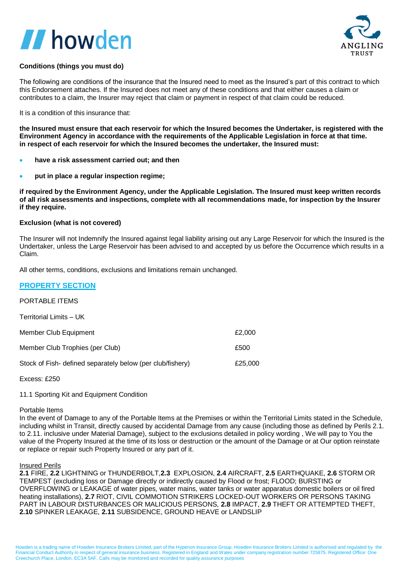

### **Conditions (things you must do)**

The following are conditions of the insurance that the Insured need to meet as the Insured's part of this contract to which this Endorsement attaches. If the Insured does not meet any of these conditions and that either causes a claim or contributes to a claim, the Insurer may reject that claim or payment in respect of that claim could be reduced.

It is a condition of this insurance that:

**the Insured must ensure that each reservoir for which the Insured becomes the Undertaker, is registered with the Environment Agency in accordance with the requirements of the Applicable Legislation in force at that time. in respect of each reservoir for which the Insured becomes the undertaker, the Insured must:**

- **have a risk assessment carried out; and then**
- **put in place a regular inspection regime;**

**if required by the Environment Agency, under the Applicable Legislation. The Insured must keep written records of all risk assessments and inspections, complete with all recommendations made, for inspection by the Insurer if they require.**

#### **Exclusion (what is not covered)**

The Insurer will not Indemnify the Insured against legal liability arising out any Large Reservoir for which the Insured is the Undertaker, unless the Large Reservoir has been advised to and accepted by us before the Occurrence which results in a Claim.

All other terms, conditions, exclusions and limitations remain unchanged.

#### **PROPERTY SECTION**

### PORTABLE ITEMS

| Territorial Limits - UK                                    |         |
|------------------------------------------------------------|---------|
| Member Club Equipment                                      | £2,000  |
| Member Club Trophies (per Club)                            | £500    |
| Stock of Fish- defined separately below (per club/fishery) | £25,000 |
|                                                            |         |

Excess: £250

11.1 Sporting Kit and Equipment Condition

### Portable Items

In the event of Damage to any of the Portable Items at the Premises or within the Territorial Limits stated in the Schedule, including whilst in Transit, directly caused by accidental Damage from any cause (including those as defined by Perils 2.1. to 2.11. inclusive under Material Damage), subject to the exclusions detailed in policy wording , We will pay to You the value of the Property Insured at the time of its loss or destruction or the amount of the Damage or at Our option reinstate or replace or repair such Property Insured or any part of it.

#### Insured Perils

**2.1** FIRE, **2.2** LIGHTNING or THUNDERBOLT,**2.3** EXPLOSION, **2.4** AIRCRAFT, **2.5** EARTHQUAKE, **2.6** STORM OR TEMPEST (excluding loss or Damage directly or indirectly caused by Flood or frost; FLOOD; BURSTING or OVERFLOWING or LEAKAGE of water pipes, water mains, water tanks or water apparatus domestic boilers or oil fired heating installations), **2.7** RIOT, CIVIL COMMOTION STRIKERS LOCKED-OUT WORKERS OR PERSONS TAKING PART IN LABOUR DISTURBANCES OR MALICIOUS PERSONS, **2.8** IMPACT, **2.9** THEFT OR ATTEMPTED THEFT, **2.10** SPINKER LEAKAGE, **2.11** SUBSIDENCE, GROUND HEAVE or LANDSLIP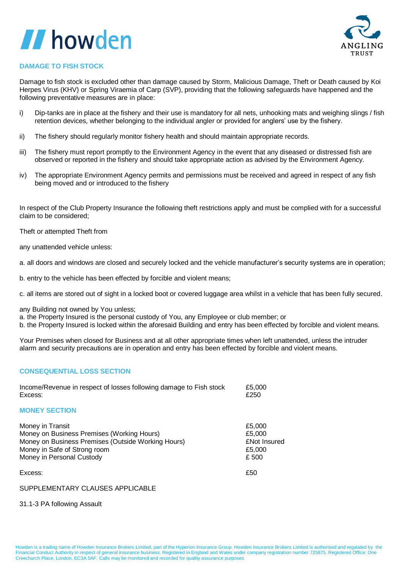

### **DAMAGE TO FISH STOCK**

Damage to fish stock is excluded other than damage caused by Storm, Malicious Damage, Theft or Death caused by Koi Herpes Virus (KHV) or Spring Viraemia of Carp (SVP), providing that the following safeguards have happened and the following preventative measures are in place:

- i) Dip-tanks are in place at the fishery and their use is mandatory for all nets, unhooking mats and weighing slings / fish retention devices, whether belonging to the individual angler or provided for anglers' use by the fishery.
- ii) The fishery should regularly monitor fishery health and should maintain appropriate records.
- iii) The fishery must report promptly to the Environment Agency in the event that any diseased or distressed fish are observed or reported in the fishery and should take appropriate action as advised by the Environment Agency.
- iv) The appropriate Environment Agency permits and permissions must be received and agreed in respect of any fish being moved and or introduced to the fishery

In respect of the Club Property Insurance the following theft restrictions apply and must be complied with for a successful claim to be considered;

Theft or attempted Theft from

any unattended vehicle unless:

a. all doors and windows are closed and securely locked and the vehicle manufacturer's security systems are in operation;

b. entry to the vehicle has been effected by forcible and violent means;

c. all items are stored out of sight in a locked boot or covered luggage area whilst in a vehicle that has been fully secured.

any Building not owned by You unless;

a. the Property Insured is the personal custody of You, any Employee or club member; or

b. the Property Insured is locked within the aforesaid Building and entry has been effected by forcible and violent means.

Your Premises when closed for Business and at all other appropriate times when left unattended, unless the intruder alarm and security precautions are in operation and entry has been effected by forcible and violent means.

### **CONSEQUENTIAL LOSS SECTION**

| Income/Revenue in respect of losses following damage to Fish stock | £5,000       |  |
|--------------------------------------------------------------------|--------------|--|
| Excess:                                                            | £250         |  |
| <b>MONEY SECTION</b>                                               |              |  |
| Money in Transit                                                   | £5,000       |  |
| Money on Business Premises (Working Hours)                         | £5,000       |  |
| Money on Business Premises (Outside Working Hours)                 | £Not Insured |  |
| Money in Safe of Strong room                                       | £5,000       |  |
| Money in Personal Custody                                          | £500         |  |
| Excess:                                                            | £50          |  |

#### SUPPLEMENTARY CLAUSES APPLICABLE

#### 31.1-3 PA following Assault

Howden is a trading name of Howden Insurance Brokers Limited, part of the Hyperion Insurance Group. Howden Insurance Brokers Limited is authorised and regulated by the Financial Conduct Authority in respect of general insurance business. Registered in England and Wales under company registration number 725875. Registered Office: One Creechurch Place, London, EC3A 5AF. Calls may be monitored and recorded for quality assurance purposes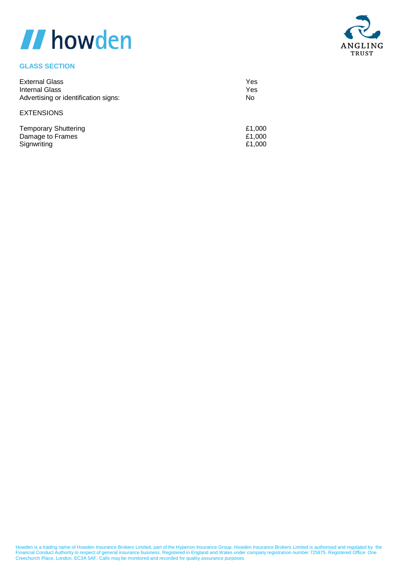### **GLASS SECTION**

| <b>External Glass</b>                | Yes    |
|--------------------------------------|--------|
| Internal Glass                       | Yes    |
| Advertising or identification signs: | No     |
| <b>EXTENSIONS</b>                    |        |
| Tomporon, Chuttoring                 | 21. UU |

| <b>Temporary Shuttering</b> | £1.000 |
|-----------------------------|--------|
| Damage to Frames            | £1.000 |
| Signwriting                 | £1.000 |

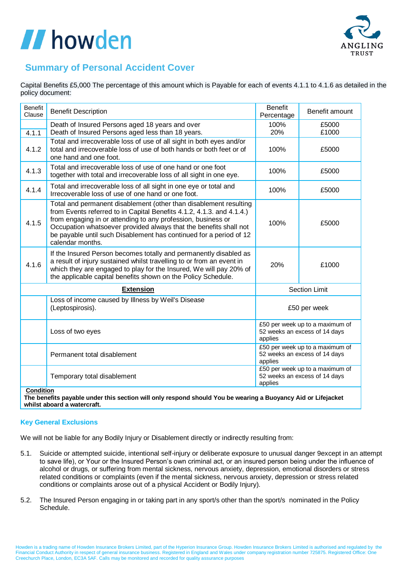

### **Summary of Personal Accident Cover**

Capital Benefits £5,000 The percentage of this amount which is Payable for each of events 4.1.1 to 4.1.6 as detailed in the policy document:

| <b>Benefit</b><br>Clause | <b>Benefit Description</b>                                                                                                                                                                                                                                                                                                                                                | <b>Benefit</b><br>Percentage                                                | Benefit amount |
|--------------------------|---------------------------------------------------------------------------------------------------------------------------------------------------------------------------------------------------------------------------------------------------------------------------------------------------------------------------------------------------------------------------|-----------------------------------------------------------------------------|----------------|
| 4.1.1                    | Death of Insured Persons aged 18 years and over<br>Death of Insured Persons aged less than 18 years.                                                                                                                                                                                                                                                                      | 100%<br>20%                                                                 | £5000<br>£1000 |
| 4.1.2                    | Total and irrecoverable loss of use of all sight in both eyes and/or<br>total and irrecoverable loss of use of both hands or both feet or of<br>one hand and one foot.                                                                                                                                                                                                    | 100%                                                                        | £5000          |
| 4.1.3                    | Total and irrecoverable loss of use of one hand or one foot<br>together with total and irrecoverable loss of all sight in one eye.                                                                                                                                                                                                                                        | 100%                                                                        | £5000          |
| 4.1.4                    | Total and irrecoverable loss of all sight in one eye or total and<br>Irrecoverable loss of use of one hand or one foot.                                                                                                                                                                                                                                                   | 100%                                                                        | £5000          |
| 4.1.5                    | Total and permanent disablement (other than disablement resulting<br>from Events referred to in Capital Benefits 4.1.2, 4.1.3. and 4.1.4.)<br>from engaging in or attending to any profession, business or<br>Occupation whatsoever provided always that the benefits shall not<br>be payable until such Disablement has continued for a period of 12<br>calendar months. | 100%                                                                        | £5000          |
| 4.1.6                    | If the Insured Person becomes totally and permanently disabled as<br>a result of injury sustained whilst travelling to or from an event in<br>which they are engaged to play for the Insured, We will pay 20% of<br>the applicable capital benefits shown on the Policy Schedule.                                                                                         | 20%                                                                         | £1000          |
| <b>Extension</b>         |                                                                                                                                                                                                                                                                                                                                                                           | <b>Section Limit</b>                                                        |                |
|                          | Loss of income caused by Illness by Weil's Disease<br>(Leptospirosis).                                                                                                                                                                                                                                                                                                    | £50 per week                                                                |                |
|                          | Loss of two eyes                                                                                                                                                                                                                                                                                                                                                          | £50 per week up to a maximum of<br>52 weeks an excess of 14 days<br>applies |                |
|                          | Permanent total disablement                                                                                                                                                                                                                                                                                                                                               | £50 per week up to a maximum of<br>52 weeks an excess of 14 days<br>applies |                |
| Condition                | Temporary total disablement                                                                                                                                                                                                                                                                                                                                               | £50 per week up to a maximum of<br>52 weeks an excess of 14 days<br>applies |                |

**Condition**

The benefits payable under this section will only respond should You be wearing a Buoyancy Aid or Lifejacket **whilst aboard a watercraft.**

#### **Key General Exclusions**

We will not be liable for any Bodily Injury or Disablement directly or indirectly resulting from:

- 5.1. Suicide or attempted suicide, intentional self-injury or deliberate exposure to unusual danger 9except in an attempt to save life), or Your or the Insured Person's own criminal act, or an insured person being under the influence of alcohol or drugs, or suffering from mental sickness, nervous anxiety, depression, emotional disorders or stress related conditions or complaints (even if the mental sickness, nervous anxiety, depression or stress related conditions or complaints arose out of a physical Accident or Bodily Injury).
- 5.2. The Insured Person engaging in or taking part in any sport/s other than the sport/s nominated in the Policy Schedule.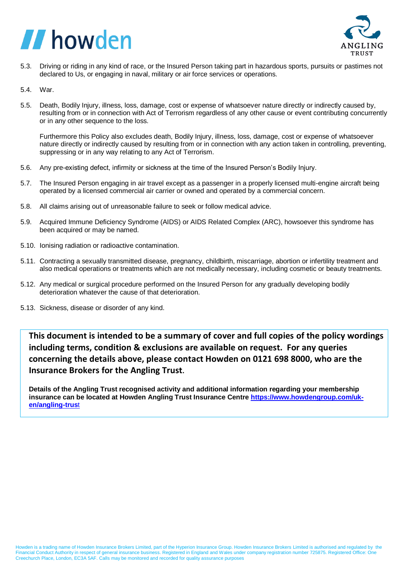

- 5.3. Driving or riding in any kind of race, or the Insured Person taking part in hazardous sports, pursuits or pastimes not declared to Us, or engaging in naval, military or air force services or operations.
- 5.4. War.
- 5.5. Death, Bodily Injury, illness, loss, damage, cost or expense of whatsoever nature directly or indirectly caused by, resulting from or in connection with Act of Terrorism regardless of any other cause or event contributing concurrently or in any other sequence to the loss.

Furthermore this Policy also excludes death, Bodily Injury, illness, loss, damage, cost or expense of whatsoever nature directly or indirectly caused by resulting from or in connection with any action taken in controlling, preventing, suppressing or in any way relating to any Act of Terrorism.

- 5.6. Any pre-existing defect, infirmity or sickness at the time of the Insured Person's Bodily Injury.
- 5.7. The Insured Person engaging in air travel except as a passenger in a properly licensed multi-engine aircraft being operated by a licensed commercial air carrier or owned and operated by a commercial concern.
- 5.8. All claims arising out of unreasonable failure to seek or follow medical advice.
- 5.9. Acquired Immune Deficiency Syndrome (AIDS) or AIDS Related Complex (ARC), howsoever this syndrome has been acquired or may be named.
- 5.10. Ionising radiation or radioactive contamination.
- 5.11. Contracting a sexually transmitted disease, pregnancy, childbirth, miscarriage, abortion or infertility treatment and also medical operations or treatments which are not medically necessary, including cosmetic or beauty treatments.
- 5.12. Any medical or surgical procedure performed on the Insured Person for any gradually developing bodily deterioration whatever the cause of that deterioration.
- 5.13. Sickness, disease or disorder of any kind.

**This document is intended to be a summary of cover and full copies of the policy wordings including terms, condition & exclusions are available on request. For any queries concerning the details above, please contact Howden on 0121 698 8000, who are the Insurance Brokers for the Angling Trust.**

**Details of the Angling Trust recognised activity and additional information regarding your membership insurance can be located at Howden Angling Trust Insurance Centre [https://www.howdengroup.com/uk](https://www.howdengroup.com/uk-en/angling-trust)[en/angling-trus](https://www.howdengroup.com/uk-en/angling-trust)**t